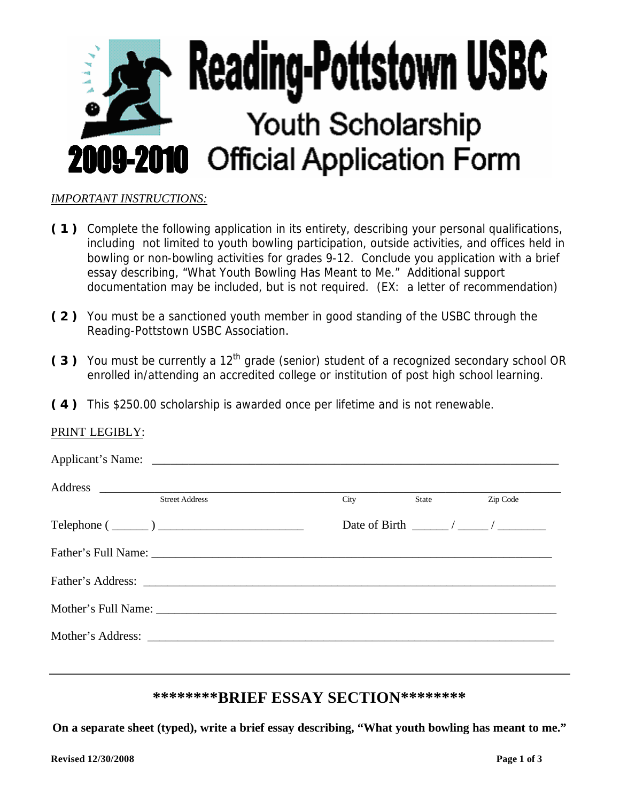

#### *IMPORTANT INSTRUCTIONS:*

- **( 1 )** Complete the following application in its entirety, describing your personal qualifications, including not limited to youth bowling participation, outside activities, and offices held in bowling or non-bowling activities for grades 9-12. Conclude you application with a brief essay describing, "What Youth Bowling Has Meant to Me." Additional support documentation may be included, but is not required. (EX: a letter of recommendation)
- **( 2 )** You must be a sanctioned youth member in good standing of the USBC through the Reading-Pottstown USBC Association.
- (3) You must be currently a 12<sup>th</sup> grade (senior) student of a recognized secondary school OR enrolled in/attending an accredited college or institution of post high school learning.
- **( 4 )** This \$250.00 scholarship is awarded once per lifetime and is not renewable.

#### PRINT LEGIBLY:

| <b>Street Address</b>                                                             | City<br>State | Zip Code |
|-----------------------------------------------------------------------------------|---------------|----------|
| $\text{Telephone} \left( \begin{array}{c} \text{} \\ \text{} \end{array} \right)$ |               |          |
|                                                                                   |               |          |
|                                                                                   |               |          |
|                                                                                   |               |          |
|                                                                                   |               |          |

### **\*\*\*\*\*\*\*\*BRIEF ESSAY SECTION\*\*\*\*\*\*\*\***

**On a separate sheet (typed), write a brief essay describing, "What youth bowling has meant to me."**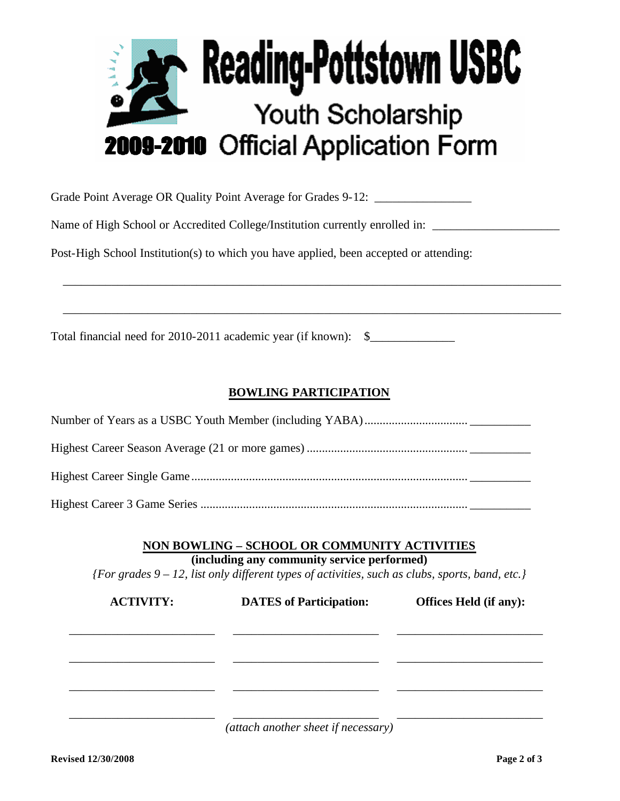

Grade Point Average OR Quality Point Average for Grades 9-12: \_\_\_\_\_\_\_\_\_\_\_\_\_\_\_\_\_\_

Name of High School or Accredited College/Institution currently enrolled in: \_\_\_\_\_\_\_\_\_\_\_\_\_\_\_\_\_\_\_\_\_\_\_\_\_\_\_\_\_\_\_\_\_

Post-High School Institution(s) to which you have applied, been accepted or attending:

Total financial need for 2010-2011 academic year (if known): \$\_\_\_\_\_\_\_\_\_\_\_\_\_\_\_\_\_\_

## **BOWLING PARTICIPATION**

\_\_\_\_\_\_\_\_\_\_\_\_\_\_\_\_\_\_\_\_\_\_\_\_\_\_\_\_\_\_\_\_\_\_\_\_\_\_\_\_\_\_\_\_\_\_\_\_\_\_\_\_\_\_\_\_\_\_\_\_\_\_\_\_\_\_\_\_\_\_\_\_\_\_\_\_\_\_\_\_\_\_

\_\_\_\_\_\_\_\_\_\_\_\_\_\_\_\_\_\_\_\_\_\_\_\_\_\_\_\_\_\_\_\_\_\_\_\_\_\_\_\_\_\_\_\_\_\_\_\_\_\_\_\_\_\_\_\_\_\_\_\_\_\_\_\_\_\_\_\_\_\_\_\_\_\_\_\_\_\_\_\_\_\_

Highest Career 3 Game Series ........................................................................................ \_\_\_\_\_\_\_\_\_\_

**NON BOWLING – SCHOOL OR COMMUNITY ACTIVITIES**

**(including any community service performed)**

*{For grades 9 – 12, list only different types of activities, such as clubs, sports, band, etc.}*

| <b>ACTIVITY:</b> | <b>DATES</b> of Participation: | <b>Offices Held (if any):</b> |
|------------------|--------------------------------|-------------------------------|
|                  |                                |                               |
|                  |                                |                               |
|                  |                                |                               |
|                  |                                |                               |
|                  |                                |                               |
|                  |                                |                               |

*(attach another sheet if necessary)*